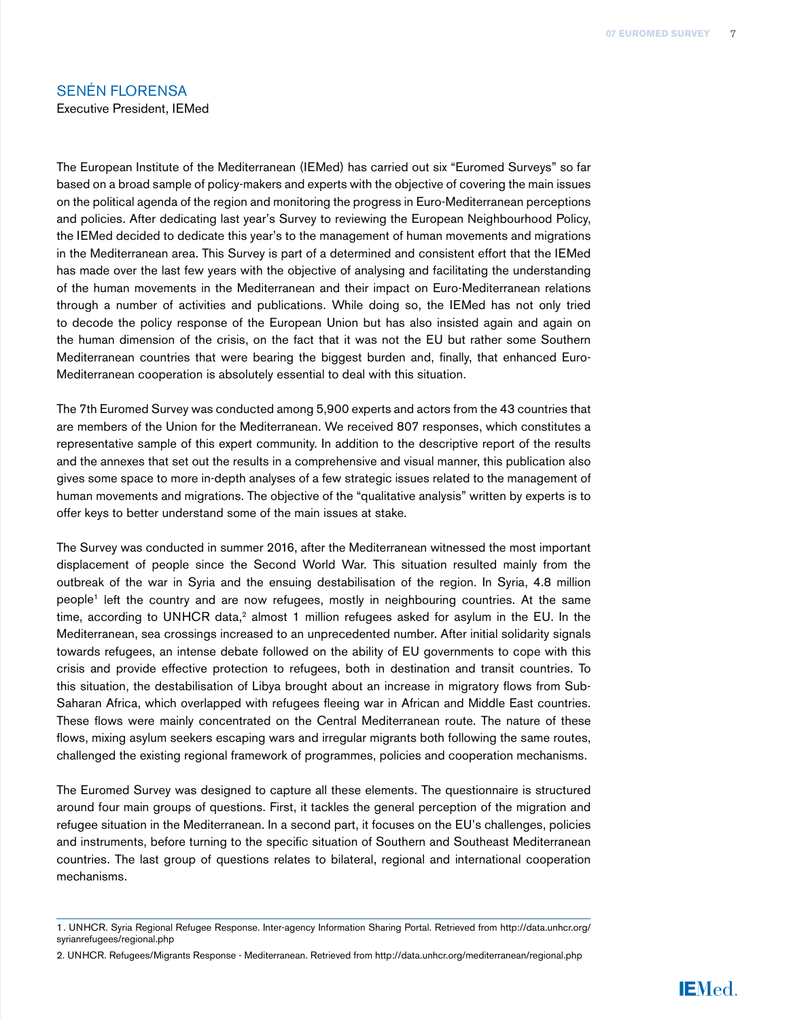### Senén florensa

Executive President, IEMed

The European Institute of the Mediterranean (IEMed) has carried out six "Euromed Surveys" so far based on a broad sample of policy-makers and experts with the objective of covering the main issues on the political agenda of the region and monitoring the progress in Euro-Mediterranean perceptions and policies. After dedicating last year's Survey to reviewing the European Neighbourhood Policy, the IEMed decided to dedicate this year's to the management of human movements and migrations in the Mediterranean area. This Survey is part of a determined and consistent effort that the IEMed has made over the last few years with the objective of analysing and facilitating the understanding of the human movements in the Mediterranean and their impact on Euro-Mediterranean relations through a number of activities and publications. While doing so, the IEMed has not only tried to decode the policy response of the European Union but has also insisted again and again on the human dimension of the crisis, on the fact that it was not the EU but rather some Southern Mediterranean countries that were bearing the biggest burden and, finally, that enhanced Euro-Mediterranean cooperation is absolutely essential to deal with this situation.

The 7th Euromed Survey was conducted among 5,900 experts and actors from the 43 countries that are members of the Union for the Mediterranean. We received 807 responses, which constitutes a representative sample of this expert community. In addition to the descriptive report of the results and the annexes that set out the results in a comprehensive and visual manner, this publication also gives some space to more in-depth analyses of a few strategic issues related to the management of human movements and migrations. The objective of the "qualitative analysis" written by experts is to offer keys to better understand some of the main issues at stake.

The Survey was conducted in summer 2016, after the Mediterranean witnessed the most important displacement of people since the Second World War. This situation resulted mainly from the outbreak of the war in Syria and the ensuing destabilisation of the region. In Syria, 4.8 million people1 left the country and are now refugees, mostly in neighbouring countries. At the same time, according to UNHCR data,<sup>2</sup> almost 1 million refugees asked for asylum in the EU. In the Mediterranean, sea crossings increased to an unprecedented number. After initial solidarity signals towards refugees, an intense debate followed on the ability of EU governments to cope with this crisis and provide effective protection to refugees, both in destination and transit countries. To this situation, the destabilisation of Libya brought about an increase in migratory flows from Sub-Saharan Africa, which overlapped with refugees fleeing war in African and Middle East countries. These flows were mainly concentrated on the Central Mediterranean route. The nature of these flows, mixing asylum seekers escaping wars and irregular migrants both following the same routes, challenged the existing regional framework of programmes, policies and cooperation mechanisms.

The Euromed Survey was designed to capture all these elements. The questionnaire is structured around four main groups of questions. First, it tackles the general perception of the migration and refugee situation in the Mediterranean. In a second part, it focuses on the EU's challenges, policies and instruments, before turning to the specific situation of Southern and Southeast Mediterranean countries. The last group of questions relates to bilateral, regional and international cooperation mechanisms.

<sup>1.</sup> UNHCR. Syria Regional Refugee Response. Inter-agency Information Sharing Portal. Retrieved from [http://data.unhcr.org/](http://data.unhcr.org/syrianrefugees/regional.php) [syrianrefugees/regional.php](http://data.unhcr.org/syrianrefugees/regional.php) 

<sup>2.</sup> UNHCR. Refugees/Migrants Response - Mediterranean. Retrieved from <http://data.unhcr.org/mediterranean/regional.php>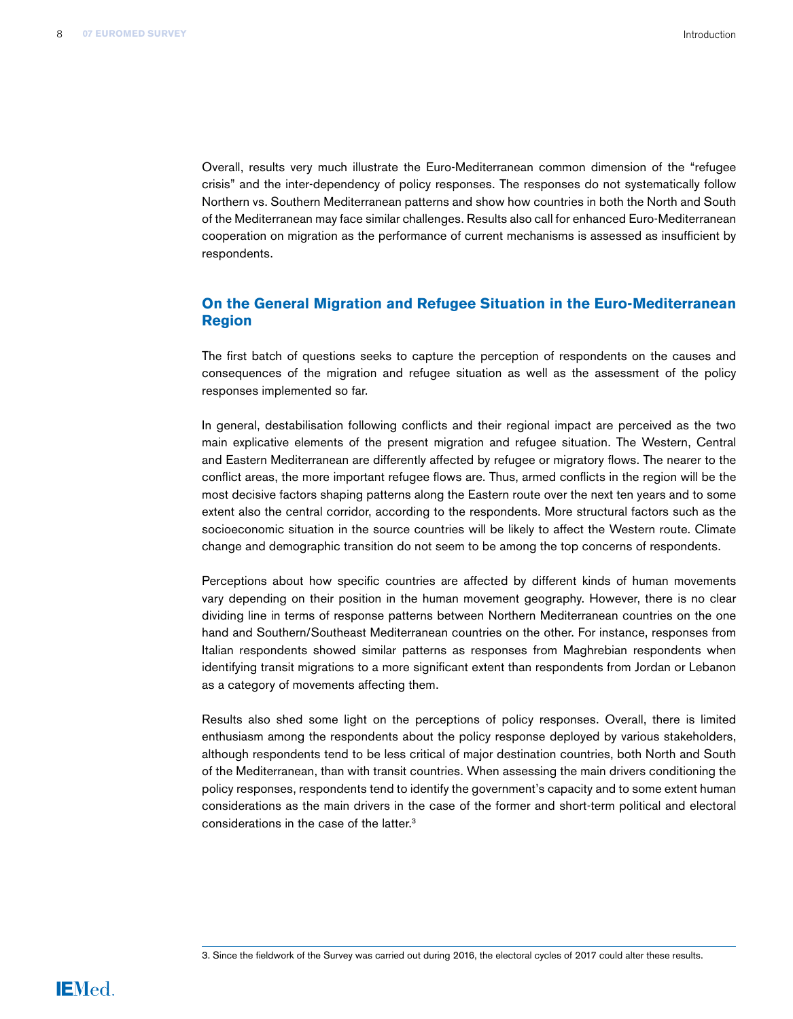Overall, results very much illustrate the Euro-Mediterranean common dimension of the "refugee crisis" and the inter-dependency of policy responses. The responses do not systematically follow Northern vs. Southern Mediterranean patterns and show how countries in both the North and South of the Mediterranean may face similar challenges. Results also call for enhanced Euro-Mediterranean cooperation on migration as the performance of current mechanisms is assessed as insufficient by respondents.

## **On the General Migration and Refugee Situation in the Euro-Mediterranean Region**

The first batch of questions seeks to capture the perception of respondents on the causes and consequences of the migration and refugee situation as well as the assessment of the policy responses implemented so far.

In general, destabilisation following conflicts and their regional impact are perceived as the two main explicative elements of the present migration and refugee situation. The Western, Central and Eastern Mediterranean are differently affected by refugee or migratory flows. The nearer to the conflict areas, the more important refugee flows are. Thus, armed conflicts in the region will be the most decisive factors shaping patterns along the Eastern route over the next ten years and to some extent also the central corridor, according to the respondents. More structural factors such as the socioeconomic situation in the source countries will be likely to affect the Western route. Climate change and demographic transition do not seem to be among the top concerns of respondents.

Perceptions about how specific countries are affected by different kinds of human movements vary depending on their position in the human movement geography. However, there is no clear dividing line in terms of response patterns between Northern Mediterranean countries on the one hand and Southern/Southeast Mediterranean countries on the other. For instance, responses from Italian respondents showed similar patterns as responses from Maghrebian respondents when identifying transit migrations to a more significant extent than respondents from Jordan or Lebanon as a category of movements affecting them.

Results also shed some light on the perceptions of policy responses. Overall, there is limited enthusiasm among the respondents about the policy response deployed by various stakeholders, although respondents tend to be less critical of major destination countries, both North and South of the Mediterranean, than with transit countries. When assessing the main drivers conditioning the policy responses, respondents tend to identify the government's capacity and to some extent human considerations as the main drivers in the case of the former and short-term political and electoral considerations in the case of the latter.3

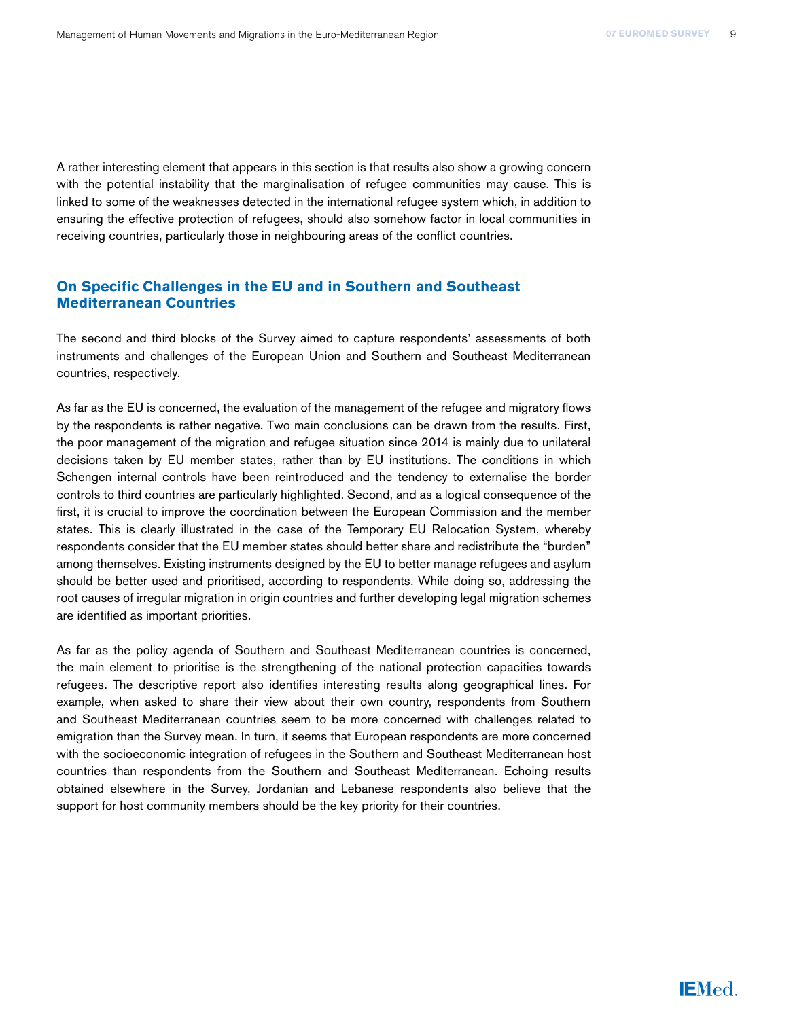A rather interesting element that appears in this section is that results also show a growing concern with the potential instability that the marginalisation of refugee communities may cause. This is linked to some of the weaknesses detected in the international refugee system which, in addition to ensuring the effective protection of refugees, should also somehow factor in local communities in receiving countries, particularly those in neighbouring areas of the conflict countries.

## **On Specific Challenges in the EU and in Southern and Southeast Mediterranean Countries**

The second and third blocks of the Survey aimed to capture respondents' assessments of both instruments and challenges of the European Union and Southern and Southeast Mediterranean countries, respectively.

As far as the EU is concerned, the evaluation of the management of the refugee and migratory flows by the respondents is rather negative. Two main conclusions can be drawn from the results. First, the poor management of the migration and refugee situation since 2014 is mainly due to unilateral decisions taken by EU member states, rather than by EU institutions. The conditions in which Schengen internal controls have been reintroduced and the tendency to externalise the border controls to third countries are particularly highlighted. Second, and as a logical consequence of the first, it is crucial to improve the coordination between the European Commission and the member states. This is clearly illustrated in the case of the Temporary EU Relocation System, whereby respondents consider that the EU member states should better share and redistribute the "burden" among themselves. Existing instruments designed by the EU to better manage refugees and asylum should be better used and prioritised, according to respondents. While doing so, addressing the root causes of irregular migration in origin countries and further developing legal migration schemes are identified as important priorities.

As far as the policy agenda of Southern and Southeast Mediterranean countries is concerned, the main element to prioritise is the strengthening of the national protection capacities towards refugees. The descriptive report also identifies interesting results along geographical lines. For example, when asked to share their view about their own country, respondents from Southern and Southeast Mediterranean countries seem to be more concerned with challenges related to emigration than the Survey mean. In turn, it seems that European respondents are more concerned with the socioeconomic integration of refugees in the Southern and Southeast Mediterranean host countries than respondents from the Southern and Southeast Mediterranean. Echoing results obtained elsewhere in the Survey, Jordanian and Lebanese respondents also believe that the support for host community members should be the key priority for their countries.